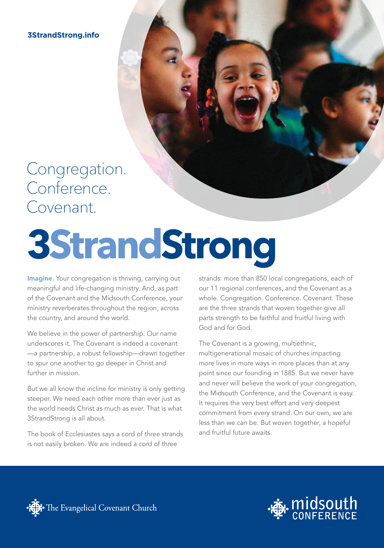**3StrandStrong.info**

### Congregation. Conference. Covenant.

# **3StrandStrong**

Imagine. Your congregation is thriving, carrying out meaningful and life-changing ministry. And, as part of the Covenant and the Midsouth Conference, your ministry reverberates throughout the region, across the country, and around the world.

We believe in the power of partnership. Our name underscores it. The Covenant is indeed a covenant —a partnership, a robust fellowship—drawn together to spur one another to go deeper in Christ and further in mission.

But we all know the incline for ministry is only getting steeper. We need each other more than ever just as the world needs Christ as much as ever. That is what 3StrandStrong is all about.

The book of Ecclesiastes says a cord of three strands is not easily broken. We are indeed a cord of three

strands: more than 850 local congregations, each of our 11 regional conferences, and the Covenant as a whole. Congregation. Conference. Covenant. These are the three strands that woven together give all parts strength to be faithful and fruitful living with God and for God.

The Covenant is a growing, multiethnic, multigenerational mosaic of churches impacting more lives in more ways in more places than at any point since our founding in 1885. But we never have and never will believe the work of your congregation, the Midsouth Conference, and the Covenant is easy. It requires the very best effort and very deepest commitment from every strand. On our own, we are less than we can be. But woven together, a hopeful and fruitful future awaits.



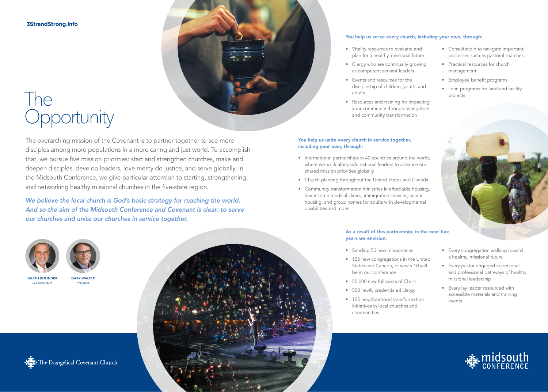**3StrandStrong.info**

## The **Opportunity**

The overarching mission of the Covenant is to partner together to see more disciples among more populations in a more caring and just world. To accomplish that, we pursue five mission priorities: start and strengthen churches, make and deepen disciples, develop leaders, love mercy do justice, and serve globally. In the Midsouth Conference, we give particular attention to starting, strengthening, and networking healthy missional churches in the five-state region.

*We believe the local church is God's basic strategy for reaching the world. And so the aim of the Midsouth Conference and Covenant is clear: to serve our churches and unite our churches in service together.*



### You help us serve every church, including your own, through:

- Vitality resources to evaluate and plan for a healthy, missional future
- Clergy who are continually growing as competent servant leaders
- Events and resources for the discipleship of children, youth, and adults
- Resources and training for impacting your community through evangelism and community transformation

### You help us unite every church in service together, including your own, through:

- International partnerships in 40 countries around the world, where we work alongside national leaders to advance our shared mission priorities globally
- Church planting throughout the United States and Canada
- Community transformation ministries in affordable housing, low-income medical clinics, immigration services, senior housing, and group homes for adults with developmental disabilities and more

### As a result of this partnership, in the next five years we envision:

- Sending 50 new missionaries
- 125 new congregations in the United States and Canada, of which 10 will be in our conference
- 50,000 new followers of Christ
- 500 newly credentialed clergy
- 125 neighborhood transformation initiatives in local churches and communities
- Consultatioin to navigate important processes such as pastoral searches
- Practical resources for church management
- Employee benefit programs
- Loan programs for land and facility projects



• Every congregation walking toward a healthy, missional future • Every pastor engaged in personal and professional pathways of healthy

missional leadership

events

• Every lay leader resourced with accessible materials and training





Het The Evangelical Covenant Church

GARY WALTER President

GARTH BOLINDER Superintendent